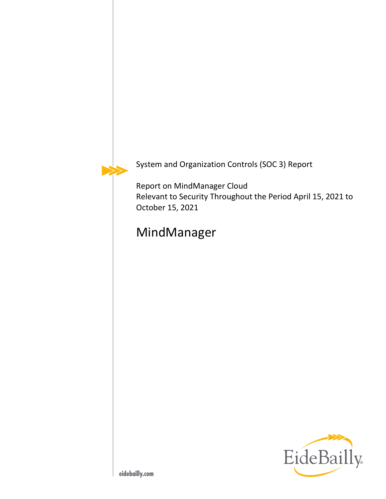

System and Organization Controls (SOC 3) Report

Report on MindManager Cloud Relevant to Security Throughout the Period April 15, 2021 to October 15, 2021

# MindManager

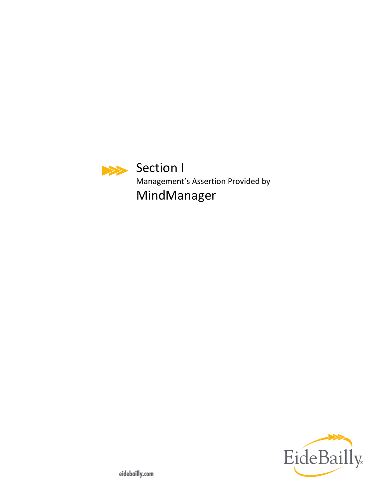<span id="page-2-0"></span>

Section I Management's Assertion Provided by MindManager

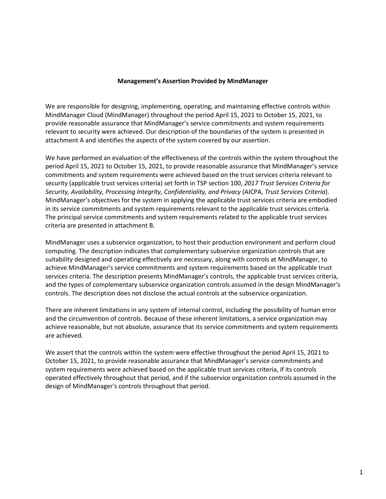#### **Management's Assertion Provided by MindManager**

We are responsible for designing, implementing, operating, and maintaining effective controls within MindManager Cloud (MindManager) throughout the period April 15, 2021 to October 15, 2021, to provide reasonable assurance that MindManager's service commitments and system requirements relevant to security were achieved. Our description of the boundaries of the system is presented in attachment A and identifies the aspects of the system covered by our assertion.

We have performed an evaluation of the effectiveness of the controls within the system throughout the period April 15, 2021 to October 15, 2021, to provide reasonable assurance that MindManager's service commitments and system requirements were achieved based on the trust services criteria relevant to security (applicable trust services criteria) set forth in TSP section 100, *2017 Trust Services Criteria for Security, Availability, Processing Integrity, Confidentiality, and Privacy* (AICPA, *Trust Services Criteria*). MindManager's objectives for the system in applying the applicable trust services criteria are embodied in its service commitments and system requirements relevant to the applicable trust services criteria. The principal service commitments and system requirements related to the applicable trust services criteria are presented in attachment B.

MindManager uses a subservice organization, to host their production environment and perform cloud computing. The description indicates that complementary subservice organization controls that are suitability designed and operating effectively are necessary, along with controls at MindManager, to achieve MindManager's service commitments and system requirements based on the applicable trust services criteria. The description presents MindManager's controls, the applicable trust services criteria, and the types of complementary subservice organization controls assumed in the design MindManager's controls. The description does not disclose the actual controls at the subservice organization.

There are inherent limitations in any system of internal control, including the possibility of human error and the circumvention of controls. Because of these inherent limitations, a service organization may achieve reasonable, but not absolute, assurance that its service commitments and system requirements are achieved.

We assert that the controls within the system were effective throughout the period April 15, 2021 to October 15, 2021, to provide reasonable assurance that MindManager's service commitments and system requirements were achieved based on the applicable trust services criteria, if its controls operated effectively throughout that period, and if the subservice organization controls assumed in the design of MindManager's controls throughout that period.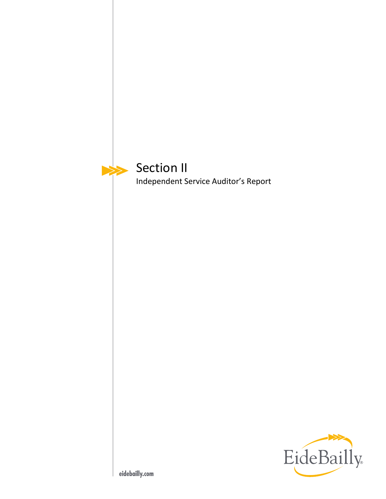<span id="page-4-0"></span>

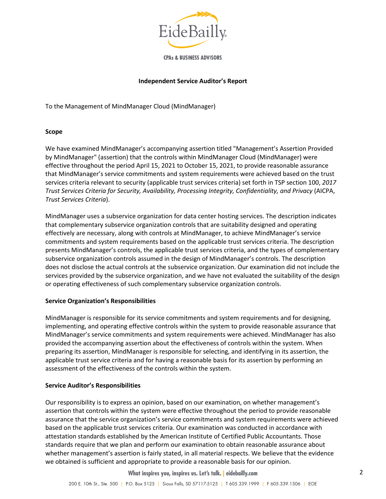

**CPAs & BUSINESS ADVISORS** 

#### **Independent Service Auditor's Report**

To the Management of MindManager Cloud (MindManager)

#### **Scope**

We have examined MindManager's accompanying assertion titled "Management's Assertion Provided by MindManager" (assertion) that the controls within MindManager Cloud (MindManager) were effective throughout the period April 15, 2021 to October 15, 2021, to provide reasonable assurance that MindManager's service commitments and system requirements were achieved based on the trust services criteria relevant to security (applicable trust services criteria) set forth in TSP section 100, *2017 Trust Services Criteria for Security, Availability, Processing Integrity, Confidentiality, and Privacy* (AICPA, *Trust Services Criteria*).

MindManager uses a subservice organization for data center hosting services. The description indicates that complementary subservice organization controls that are suitability designed and operating effectively are necessary, along with controls at MindManager, to achieve MindManager's service commitments and system requirements based on the applicable trust services criteria. The description presents MindManager's controls, the applicable trust services criteria, and the types of complementary subservice organization controls assumed in the design of MindManager's controls. The description does not disclose the actual controls at the subservice organization. Our examination did not include the services provided by the subservice organization, and we have not evaluated the suitability of the design or operating effectiveness of such complementary subservice organization controls.

#### **Service Organization's Responsibilities**

MindManager is responsible for its service commitments and system requirements and for designing, implementing, and operating effective controls within the system to provide reasonable assurance that MindManager's service commitments and system requirements were achieved. MindManager has also provided the accompanying assertion about the effectiveness of controls within the system. When preparing its assertion, MindManager is responsible for selecting, and identifying in its assertion, the applicable trust service criteria and for having a reasonable basis for its assertion by performing an assessment of the effectiveness of the controls within the system.

#### **Service Auditor's Responsibilities**

Our responsibility is to express an opinion, based on our examination, on whether management's assertion that controls within the system were effective throughout the period to provide reasonable assurance that the service organization's service commitments and system requirements were achieved based on the applicable trust services criteria. Our examination was conducted in accordance with attestation standards established by the American Institute of Certified Public Accountants. Those standards require that we plan and perform our examination to obtain reasonable assurance about whether management's assertion is fairly stated, in all material respects. We believe that the evidence we obtained is sufficient and appropriate to provide a reasonable basis for our opinion.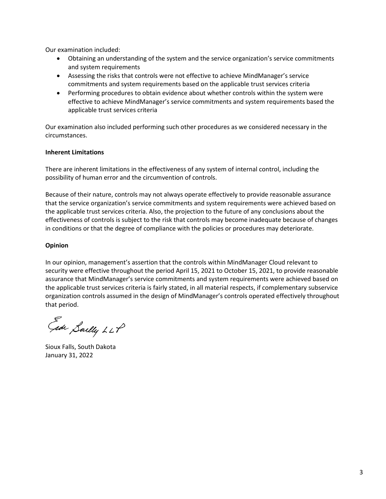Our examination included:

- Obtaining an understanding of the system and the service organization's service commitments and system requirements
- Assessing the risks that controls were not effective to achieve MindManager's service commitments and system requirements based on the applicable trust services criteria
- Performing procedures to obtain evidence about whether controls within the system were effective to achieve MindManager's service commitments and system requirements based the applicable trust services criteria

Our examination also included performing such other procedures as we considered necessary in the circumstances.

#### **Inherent Limitations**

There are inherent limitations in the effectiveness of any system of internal control, including the possibility of human error and the circumvention of controls.

Because of their nature, controls may not always operate effectively to provide reasonable assurance that the service organization's service commitments and system requirements were achieved based on the applicable trust services criteria. Also, the projection to the future of any conclusions about the effectiveness of controls is subject to the risk that controls may become inadequate because of changes in conditions or that the degree of compliance with the policies or procedures may deteriorate.

#### **Opinion**

In our opinion, management's assertion that the controls within MindManager Cloud relevant to security were effective throughout the period April 15, 2021 to October 15, 2021, to provide reasonable assurance that MindManager's service commitments and system requirements were achieved based on the applicable trust services criteria is fairly stated, in all material respects, if complementary subservice organization controls assumed in the design of MindManager's controls operated effectively throughout that period.

Gide Sailly LLP

Sioux Falls, South Dakota January 31, 2022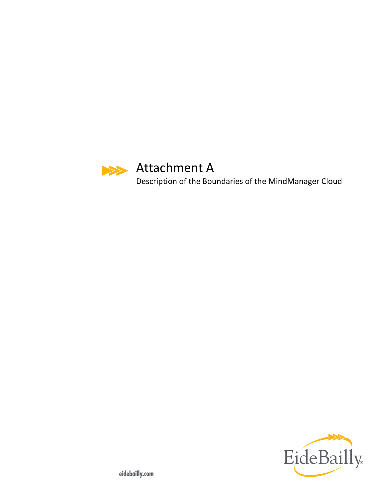<span id="page-7-0"></span>

# Attachment A

Description of the Boundaries of the MindManager Cloud

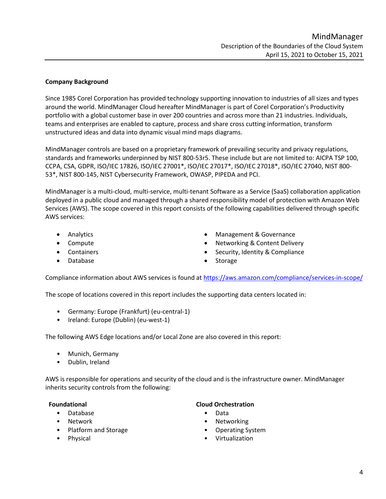#### **Company Background**

Since 1985 Corel Corporation has provided technology supporting innovation to industries of all sizes and types around the world. MindManager Cloud hereafter MindManager is part of Corel Corporation's Productivity portfolio with a global customer base in over 200 countries and across more than 21 industries. Individuals, teams and enterprises are enabled to capture, process and share cross cutting information, transform unstructured ideas and data into dynamic visual mind maps diagrams.

MindManager controls are based on a proprietary framework of prevailing security and privacy regulations, standards and frameworks underpinned by NIST 800-53r5. These include but are not limited to: AICPA TSP 100, CCPA, CSA, GDPR, ISO/IEC 17826, ISO/IEC 27001\*, ISO/IEC 27017\*, ISO/IEC 27018\*, ISO/IEC 27040, NIST 800- 53\*, NIST 800-145, NIST Cybersecurity Framework, OWASP, PIPEDA and PCI.

MindManager is a multi-cloud, multi-service, multi-tenant Software as a Service (SaaS) collaboration application deployed in a public cloud and managed through a shared responsibility model of protection with Amazon Web Services (AWS). The scope covered in this report consists of the following capabilities delivered through specific AWS services:

- 
- 
- 
- Database Storage Storage Storage Storage Storage Storage Storage Storage Storage Storage Storage Storage Storage Storage Storage Storage Storage Storage Storage Storage Storage •
- Analytics Management & Governance
- Compute Compute Networking & Content Delivery
- Containers Containers Security, Identity & Compliance
	-

Compliance information about AWS services is found at<https://aws.amazon.com/compliance/services-in-scope/>

The scope of locations covered in this report includes the supporting data centers located in:

- Germany: Europe (Frankfurt) (eu-central-1)
- Ireland: Europe (Dublin) (eu-west-1)

The following AWS Edge locations and/or Local Zone are also covered in this report:

- Munich, Germany
- Dublin, Ireland

AWS is responsible for operations and security of the cloud and is the infrastructure owner. MindManager inherits security controls from the following:

- Database Data
- 
- Platform and Storage **•** Operating System
- 

#### **Foundational Cloud Orchestration**

- 
- Network Networking
	-
- Physical Virtualization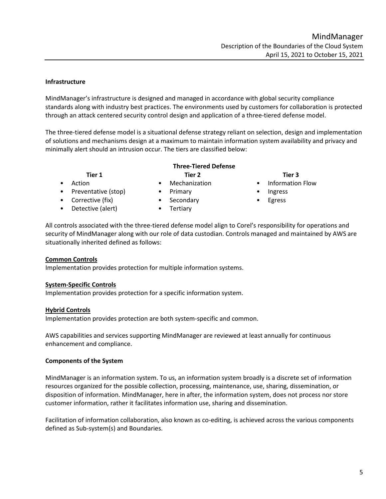# **Infrastructure**

MindManager's infrastructure is designed and managed in accordance with global security compliance standards along with industry best practices. The environments used by customers for collaboration is protected through an attack centered security control design and application of a three-tiered defense model.

The three-tiered defense model is a situational defense strategy reliant on selection, design and implementation of solutions and mechanisms design at a maximum to maintain information system availability and privacy and minimally alert should an intrusion occur. The tiers are classified below:

# **Three-Tiered Defense Tier 1 Tier 2 Tier 3**

- Preventative (stop) Primary Ingress
- Corrective (fix) Secondary Egress
- Detective (alert) Tertiary
- 
- -

- Action Mechanization Information Flow
	-
	-

All controls associated with the three-tiered defense model align to Corel's responsibility for operations and security of MindManager along with our role of data custodian. Controls managed and maintained by AWS are situationally inherited defined as follows:

## **Common Controls**

Implementation provides protection for multiple information systems.

## **System-Specific Controls**

Implementation provides protection for a specific information system.

## **Hybrid Controls**

Implementation provides protection are both system-specific and common.

AWS capabilities and services supporting MindManager are reviewed at least annually for continuous enhancement and compliance.

## **Components of the System**

MindManager is an information system. To us, an information system broadly is a discrete set of information resources organized for the possible collection, processing, maintenance, use, sharing, dissemination, or disposition of information. MindManager, here in after, the information system, does not process nor store customer information, rather it facilitates information use, sharing and dissemination.

Facilitation of information collaboration, also known as co-editing, is achieved across the various components defined as Sub-system(s) and Boundaries.

- 
- 
- 
- 
-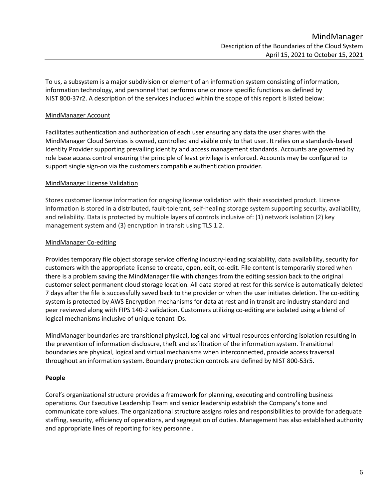To us, a subsystem is a major subdivision or element of an information system consisting of information, information technology, and personnel that performs one or more specific functions as defined by NIST 800-37r2. A description of the services included within the scope of this report is listed below:

## MindManager Account

Facilitates authentication and authorization of each user ensuring any data the user shares with the MindManager Cloud Services is owned, controlled and visible only to that user. It relies on a standards-based Identity Provider supporting prevailing identity and access management standards. Accounts are governed by role base access control ensuring the principle of least privilege is enforced. Accounts may be configured to support single sign-on via the customers compatible authentication provider.

#### MindManager License Validation

Stores customer license information for ongoing license validation with their associated product. License information is stored in a distributed, fault-tolerant, self-healing storage system supporting security, availability, and reliability. Data is protected by multiple layers of controls inclusive of: (1) network isolation (2) key management system and (3) encryption in transit using TLS 1.2.

#### MindManager Co-editing

Provides temporary file object storage service offering industry-leading scalability, data availability, security for customers with the appropriate license to create, open, edit, co-edit. File content is temporarily stored when there is a problem saving the MindManager file with changes from the editing session back to the original customer select permanent cloud storage location. All data stored at rest for this service is automatically deleted 7 days after the file is successfully saved back to the provider or when the user initiates deletion. The co-editing system is protected by AWS Encryption mechanisms for data at rest and in transit are industry standard and peer reviewed along with FIPS 140-2 validation. Customers utilizing co-editing are isolated using a blend of logical mechanisms inclusive of unique tenant IDs.

MindManager boundaries are transitional physical, logical and virtual resources enforcing isolation resulting in the prevention of information disclosure, theft and exfiltration of the information system. Transitional boundaries are physical, logical and virtual mechanisms when interconnected, provide access traversal throughout an information system. Boundary protection controls are defined by NIST 800-53r5.

#### **People**

Corel's organizational structure provides a framework for planning, executing and controlling business operations. Our Executive Leadership Team and senior leadership establish the Company's tone and communicate core values. The organizational structure assigns roles and responsibilities to provide for adequate staffing, security, efficiency of operations, and segregation of duties. Management has also established authority and appropriate lines of reporting for key personnel.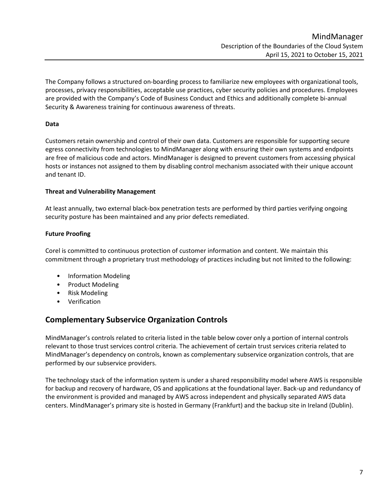The Company follows a structured on-boarding process to familiarize new employees with organizational tools, processes, privacy responsibilities, acceptable use practices, cyber security policies and procedures. Employees are provided with the Company's Code of Business Conduct and Ethics and additionally complete bi-annual Security & Awareness training for continuous awareness of threats.

# **Data**

Customers retain ownership and control of their own data. Customers are responsible for supporting secure egress connectivity from technologies to MindManager along with ensuring their own systems and endpoints are free of malicious code and actors. MindManager is designed to prevent customers from accessing physical hosts or instances not assigned to them by disabling control mechanism associated with their unique account and tenant ID.

## **Threat and Vulnerability Management**

At least annually, two external black-box penetration tests are performed by third parties verifying ongoing security posture has been maintained and any prior defects remediated.

# **Future Proofing**

Corel is committed to continuous protection of customer information and content. We maintain this commitment through a proprietary trust methodology of practices including but not limited to the following:

- Information Modeling
- Product Modeling
- Risk Modeling
- Verification

# **Complementary Subservice Organization Controls**

MindManager's controls related to criteria listed in the table below cover only a portion of internal controls relevant to those trust services control criteria. The achievement of certain trust services criteria related to MindManager's dependency on controls, known as complementary subservice organization controls, that are performed by our subservice providers.

The technology stack of the information system is under a shared responsibility model where AWS is responsible for backup and recovery of hardware, OS and applications at the foundational layer. Back-up and redundancy of the environment is provided and managed by AWS across independent and physically separated AWS data centers. MindManager's primary site is hosted in Germany (Frankfurt) and the backup site in Ireland (Dublin).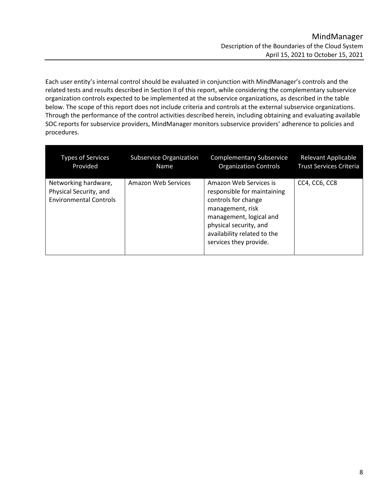Each user entity's internal control should be evaluated in conjunction with MindManager's controls and the related tests and results described in Section II of this report, while considering the complementary subservice organization controls expected to be implemented at the subservice organizations, as described in the table below. The scope of this report does not include criteria and controls at the external subservice organizations. Through the performance of the control activities described herein, including obtaining and evaluating available SOC reports for subservice providers, MindManager monitors subservice providers' adherence to policies and procedures.

| <b>Types of Services</b>                                                        | <b>Subservice Organization</b> | <b>Complementary Subservice</b>                                                                                                                                                                                | Relevant Applicable            |
|---------------------------------------------------------------------------------|--------------------------------|----------------------------------------------------------------------------------------------------------------------------------------------------------------------------------------------------------------|--------------------------------|
| Provided                                                                        | <b>Name</b>                    | <b>Organization Controls</b>                                                                                                                                                                                   | <b>Trust Services Criteria</b> |
| Networking hardware,<br>Physical Security, and<br><b>Environmental Controls</b> | Amazon Web Services            | Amazon Web Services is<br>responsible for maintaining<br>controls for change<br>management, risk<br>management, logical and<br>physical security, and<br>availability related to the<br>services they provide. | CC4, CC6, CC8                  |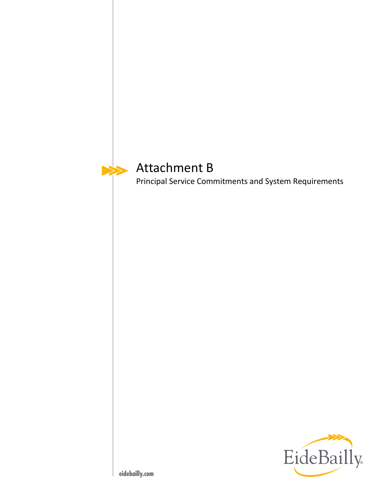<span id="page-13-0"></span>

# Attachment B

Principal Service Commitments and System Requirements